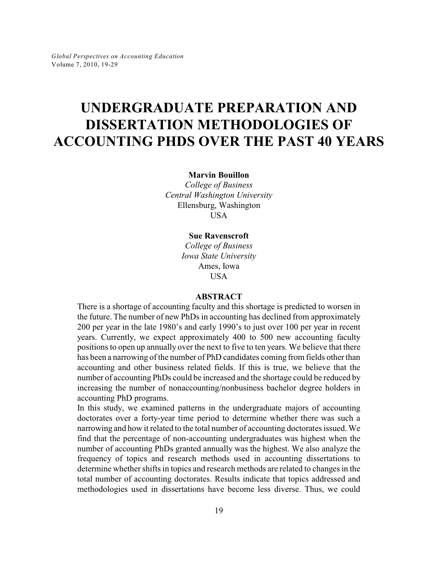# **UNDERGRADUATE PREPARATION AND DISSERTATION METHODOLOGIES OF ACCOUNTING PHDS OVER THE PAST 40 YEARS**

**Marvin Bouillon**

*College of Business Central Washington University* Ellensburg, Washington **USA** 

#### **Sue Ravenscroft**

*College of Business Iowa State University* Ames, Iowa USA

#### **ABSTRACT**

There is a shortage of accounting faculty and this shortage is predicted to worsen in the future. The number of new PhDs in accounting has declined from approximately 200 per year in the late 1980's and early 1990's to just over 100 per year in recent years. Currently, we expect approximately 400 to 500 new accounting faculty positions to open up annually over the next to five to ten years. We believe that there has been a narrowing of the number of PhD candidates coming from fields other than accounting and other business related fields. If this is true, we believe that the number of accounting PhDs could be increased and the shortage could be reduced by increasing the number of nonaccounting/nonbusiness bachelor degree holders in accounting PhD programs.

In this study, we examined patterns in the undergraduate majors of accounting doctorates over a forty-year time period to determine whether there was such a narrowing and how it related to the total number of accounting doctorates issued. We find that the percentage of non-accounting undergraduates was highest when the number of accounting PhDs granted annually was the highest. We also analyze the frequency of topics and research methods used in accounting dissertations to determine whether shifts in topics and research methods are related to changes in the total number of accounting doctorates. Results indicate that topics addressed and methodologies used in dissertations have become less diverse. Thus, we could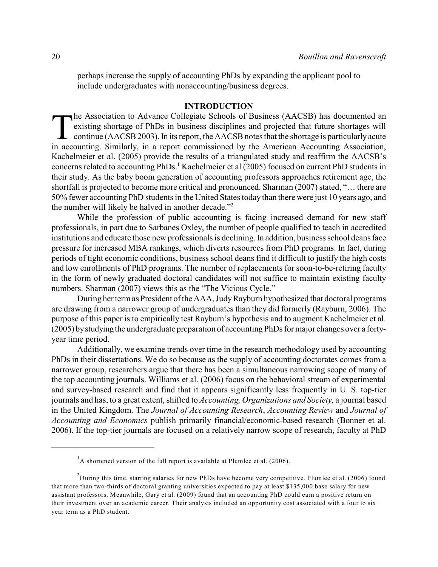perhaps increase the supply of accounting PhDs by expanding the applicant pool to include undergraduates with nonaccounting/business degrees.

### **INTRODUCTION**

The Association to Advance Collegiate Schools of Business (AACSB) has documented an existing shortage of PhDs in business disciplines and projected that future shortages will continue (AACSB 2003). In its report, the AACSB he Association to Advance Collegiate Schools of Business (AACSB) has documented an existing shortage of PhDs in business disciplines and projected that future shortages will continue ( $\angle$ AACSB 2003). In its report, the  $\angle$ ACSB notes that the shortage is particularly acute Kachelmeier et al. (2005) provide the results of a triangulated study and reaffirm the AACSB's concerns related to accounting PhDs.<sup>1</sup> Kachelmeier et al (2005) focused on current PhD students in their study. As the baby boom generation of accounting professors approaches retirement age, the shortfall is projected to become more critical and pronounced. Sharman (2007) stated, "… there are 50% fewer accounting PhD students in the United States today than there were just 10 years ago, and the number will likely be halved in another decade."<sup>2</sup>

While the profession of public accounting is facing increased demand for new staff professionals, in part due to Sarbanes Oxley, the number of people qualified to teach in accredited institutions and educate those new professionals is declining. In addition, business school deans face pressure for increased MBA rankings, which diverts resources from PhD programs. In fact, during periods of tight economic conditions, business school deans find it difficult to justify the high costs and low enrollments of PhD programs. The number of replacements for soon-to-be-retiring faculty in the form of newly graduated doctoral candidates will not suffice to maintain existing faculty numbers. Sharman (2007) views this as the "The Vicious Cycle."

During her term as President of the AAA, Judy Rayburn hypothesized that doctoral programs are drawing from a narrower group of undergraduates than they did formerly (Rayburn, 2006). The purpose of this paper is to empirically test Rayburn's hypothesis and to augment Kachelmeier et al. (2005) bystudyingthe undergraduate preparation of accounting PhDs for major changes over a fortyyear time period.

Additionally, we examine trends over time in the research methodology used by accounting PhDs in their dissertations. We do so because as the supply of accounting doctorates comes from a narrower group, researchers argue that there has been a simultaneous narrowing scope of many of the top accounting journals. Williams et al. (2006) focus on the behavioral stream of experimental and survey-based research and find that it appears significantly less frequently in U. S. top-tier journals and has, to a great extent, shifted to *Accounting, Organizations and Society,* a journal based in the United Kingdom. The *Journal of Accounting Research*, *Accounting Review* and *Journal of Accounting and Economics* publish primarily financial/economic-based research (Bonner et al. 2006). If the top-tier journals are focused on a relatively narrow scope of research, faculty at PhD

 $^{1}$ A shortened version of the full report is available at Plumlee et al. (2006).

 $^2$ During this time, starting salaries for new PhDs have become very competitive. Plumlee et al. (2006) found that more than two-thirds of doctoral granting universities expected to pay at least \$135,000 base salary for new assistant professors. Meanwhile, Gary et al. (2009) found that an accounting PhD could earn a positive return on their investment over an academic career. Their analysis included an opportunity cost associated with a four to six year term as a PhD student.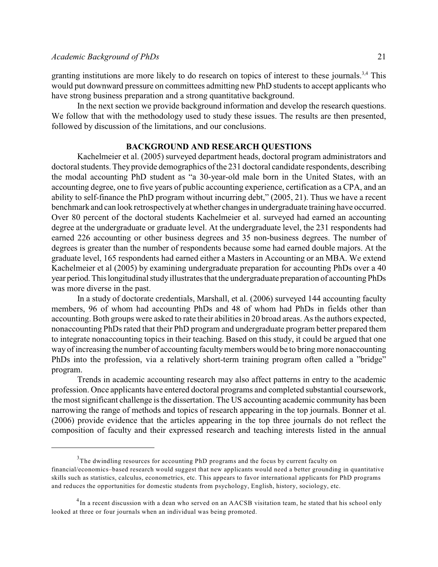granting institutions are more likely to do research on topics of interest to these journals.<sup>3,4</sup> This would put downward pressure on committees admitting new PhD students to accept applicants who have strong business preparation and a strong quantitative background.

In the next section we provide background information and develop the research questions. We follow that with the methodology used to study these issues. The results are then presented, followed by discussion of the limitations, and our conclusions.

#### **BACKGROUND AND RESEARCH QUESTIONS**

Kachelmeier et al. (2005) surveyed department heads, doctoral program administrators and doctoral students. Theyprovide demographics of the 231 doctoral candidate respondents, describing the modal accounting PhD student as "a 30-year-old male born in the United States, with an accounting degree, one to five years of public accounting experience, certification as a CPA, and an ability to self-finance the PhD program without incurring debt," (2005, 21). Thus we have a recent benchmark and can look retrospectivelyat whether changes in undergraduate training have occurred. Over 80 percent of the doctoral students Kachelmeier et al. surveyed had earned an accounting degree at the undergraduate or graduate level. At the undergraduate level, the 231 respondents had earned 226 accounting or other business degrees and 35 non-business degrees. The number of degrees is greater than the number of respondents because some had earned double majors. At the graduate level, 165 respondents had earned either a Masters in Accounting or an MBA. We extend Kachelmeier et al (2005) by examining undergraduate preparation for accounting PhDs over a 40 year period.Thislongitudinal studyillustrates that the undergraduate preparation of accounting PhDs was more diverse in the past.

In a study of doctorate credentials, Marshall, et al. (2006) surveyed 144 accounting faculty members, 96 of whom had accounting PhDs and 48 of whom had PhDs in fields other than accounting. Both groups were asked to rate their abilities in 20 broad areas. As the authors expected, nonaccounting PhDs rated that their PhD program and undergraduate program better prepared them to integrate nonaccounting topics in their teaching. Based on this study, it could be argued that one way of increasing the number of accounting faculty members would be to bring more nonaccounting PhDs into the profession, via a relatively short-term training program often called a "bridge" program.

Trends in academic accounting research may also affect patterns in entry to the academic profession. Once applicants have entered doctoral programs and completed substantial coursework, the most significant challenge is the dissertation. The US accounting academic community has been narrowing the range of methods and topics of research appearing in the top journals. Bonner et al. (2006) provide evidence that the articles appearing in the top three journals do not reflect the composition of faculty and their expressed research and teaching interests listed in the annual

 $3$ The dwindling resources for accounting PhD programs and the focus by current faculty on financial/economics–based research would suggest that new applicants would need a better grounding in quantitative skills such as statistics, calculus, econometrics, etc. This appears to favor international applicants for PhD programs and reduces the opportunities for domestic students from psychology, English, history, sociology, etc.

 $^{4}$ In a recent discussion with a dean who served on an AACSB visitation team, he stated that his school only looked at three or four journals when an individual was being promoted.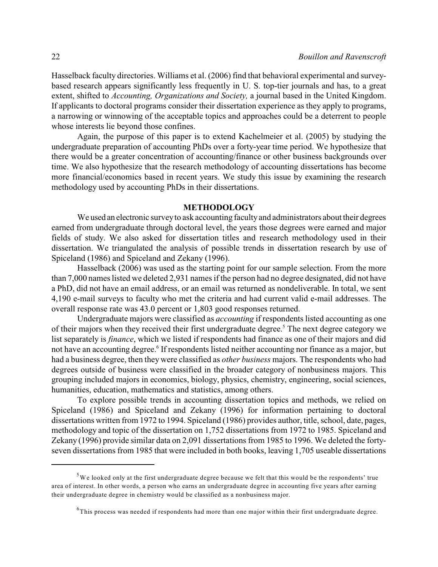Hasselback faculty directories. Williams et al. (2006) find that behavioral experimental and surveybased research appears significantly less frequently in U. S. top-tier journals and has, to a great extent, shifted to *Accounting, Organizations and Society,* a journal based in the United Kingdom. If applicants to doctoral programs consider their dissertation experience as they apply to programs, a narrowing or winnowing of the acceptable topics and approaches could be a deterrent to people whose interests lie beyond those confines.

Again, the purpose of this paper is to extend Kachelmeier et al. (2005) by studying the undergraduate preparation of accounting PhDs over a forty-year time period. We hypothesize that there would be a greater concentration of accounting/finance or other business backgrounds over time. We also hypothesize that the research methodology of accounting dissertations has become more financial/economics based in recent years. We study this issue by examining the research methodology used by accounting PhDs in their dissertations.

#### **METHODOLOGY**

We used an electronic survey to ask accounting faculty and administrators about their degrees earned from undergraduate through doctoral level, the years those degrees were earned and major fields of study. We also asked for dissertation titles and research methodology used in their dissertation. We triangulated the analysis of possible trends in dissertation research by use of Spiceland (1986) and Spiceland and Zekany (1996).

Hasselback (2006) was used as the starting point for our sample selection. From the more than 7,000 names listed we deleted 2,931 names if the person had no degree designated, did not have a PhD, did not have an email address, or an email was returned as nondeliverable. In total, we sent 4,190 e-mail surveys to faculty who met the criteria and had current valid e-mail addresses. The overall response rate was 43.0 percent or 1,803 good responses returned.

Undergraduate majors were classified as *accounting* if respondents listed accounting as one of their majors when they received their first undergraduate degree.<sup>5</sup> The next degree category we list separately is *finance*, which we listed if respondents had finance as one of their majors and did not have an accounting degree.<sup>6</sup> If respondents listed neither accounting nor finance as a major, but had a business degree, then they were classified as *other business* majors. The respondents who had degrees outside of business were classified in the broader category of nonbusiness majors. This grouping included majors in economics, biology, physics, chemistry, engineering, social sciences, humanities, education, mathematics and statistics, among others.

To explore possible trends in accounting dissertation topics and methods, we relied on Spiceland (1986) and Spiceland and Zekany (1996) for information pertaining to doctoral dissertations written from 1972 to 1994. Spiceland (1986) provides author, title, school, date, pages, methodology and topic of the dissertation on 1,752 dissertations from 1972 to 1985. Spiceland and Zekany (1996) provide similar data on 2,091 dissertations from 1985 to 1996. We deleted the fortyseven dissertations from 1985 that were included in both books, leaving 1,705 useable dissertations

 $5$ We looked only at the first undergraduate degree because we felt that this would be the respondents' true area of interest. In other words, a person who earns an undergraduate degree in accounting five years after earning their undergraduate degree in chemistry would be classified as a nonbusiness major.

 ${}^{6}$ This process was needed if respondents had more than one major within their first undergraduate degree.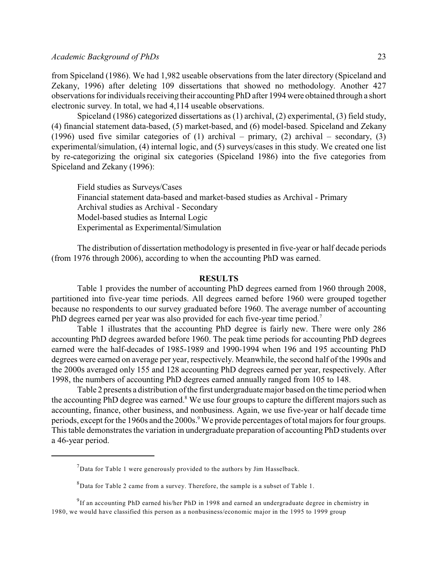from Spiceland (1986). We had 1,982 useable observations from the later directory (Spiceland and Zekany, 1996) after deleting 109 dissertations that showed no methodology. Another 427 observations for individuals receiving their accounting PhD after 1994 were obtained through a short electronic survey. In total, we had 4,114 useable observations.

Spiceland (1986) categorized dissertations as (1) archival, (2) experimental, (3) field study, (4) financial statement data-based, (5) market-based, and (6) model-based. Spiceland and Zekany (1996) used five similar categories of (1) archival – primary, (2) archival – secondary, (3) experimental/simulation, (4) internal logic, and (5) surveys/cases in this study. We created one list by re-categorizing the original six categories (Spiceland 1986) into the five categories from Spiceland and Zekany (1996):

Field studies as Surveys/Cases Financial statement data-based and market-based studies as Archival - Primary Archival studies as Archival - Secondary Model-based studies as Internal Logic Experimental as Experimental/Simulation

The distribution of dissertation methodology is presented in five-year or half decade periods (from 1976 through 2006), according to when the accounting PhD was earned.

#### **RESULTS**

Table 1 provides the number of accounting PhD degrees earned from 1960 through 2008, partitioned into five-year time periods. All degrees earned before 1960 were grouped together because no respondents to our survey graduated before 1960. The average number of accounting PhD degrees earned per year was also provided for each five-year time period.<sup>7</sup>

Table 1 illustrates that the accounting PhD degree is fairly new. There were only 286 accounting PhD degrees awarded before 1960. The peak time periods for accounting PhD degrees earned were the half-decades of 1985-1989 and 1990-1994 when 196 and 195 accounting PhD degrees were earned on average per year, respectively. Meanwhile, the second half of the 1990s and the 2000s averaged only 155 and 128 accounting PhD degrees earned per year, respectively. After 1998, the numbers of accounting PhD degrees earned annually ranged from 105 to 148.

Table 2 presents a distribution of the first undergraduate major based on the time period when the accounting PhD degree was earned. $8$  We use four groups to capture the different majors such as accounting, finance, other business, and nonbusiness. Again, we use five-year or half decade time periods, except for the 1960s and the 2000s.<sup>9</sup> We provide percentages of total majors for four groups. This table demonstrates the variation in undergraduate preparation of accounting PhD students over a 46-year period.

 $^{7}$ Data for Table 1 were generously provided to the authors by Jim Hasselback.

 ${}^{8}$ Data for Table 2 came from a survey. Therefore, the sample is a subset of Table 1.

 $^{9}$ If an accounting PhD earned his/her PhD in 1998 and earned an undergraduate degree in chemistry in 1980, we would have classified this person as a nonbusiness/economic major in the 1995 to 1999 group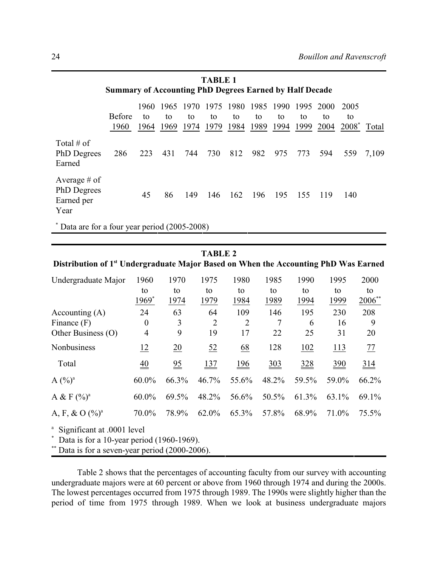| <b>TABLE 1</b>                                                 |                       |                     |                    |                      |            |            |                 |                                     |            |            |                                       |       |
|----------------------------------------------------------------|-----------------------|---------------------|--------------------|----------------------|------------|------------|-----------------|-------------------------------------|------------|------------|---------------------------------------|-------|
| <b>Summary of Accounting PhD Degrees Earned by Half Decade</b> |                       |                     |                    |                      |            |            |                 |                                     |            |            |                                       |       |
|                                                                | <b>Before</b><br>1960 | 1960.<br>to<br>1964 | 1965<br>to<br>1969 | -1970-<br>to<br>1974 | to<br>1979 | to<br>1984 | to<br>1989 1994 | 1975 1980 1985 1990 1995 2000<br>to | to<br>1999 | to<br>2004 | 2005<br>to<br>2008 <sup>*</sup> Total |       |
| Total # of<br>PhD Degrees<br>Earned                            | 286                   | 223                 | 431                | 744                  | 730        | 812        | 982             | 975                                 | 773        | 594        | 559                                   | 7,109 |
| Average # of<br>PhD Degrees<br>Earned per<br>Year              |                       | 45                  | 86                 | 149                  | 146        | 162        | 196             | 195                                 | 155        | 119        | 140                                   |       |
| * Data are for a four year period (2005-2008)                  |                       |                     |                    |                      |            |            |                 |                                     |            |            |                                       |       |

#### **TABLE 2**

## **Distribution of 1<sup>st</sup> Undergraduate Major Based on When the Accounting PhD Was Earned**

| Undergraduate Major                                                                                 | 1960                         | 1970             | 1975            | 1980              | 1985            | 1990          | 1995            | 2000            |
|-----------------------------------------------------------------------------------------------------|------------------------------|------------------|-----------------|-------------------|-----------------|---------------|-----------------|-----------------|
|                                                                                                     | to                           | to               | to              | to                | to              | to            | to              | to              |
|                                                                                                     | 1969 <sup>*</sup>            | 1974             | 1979            | 1984              | <u>1989</u>     | 1994          | 1999            | $2006$ **       |
| Accounting $(A)$                                                                                    | 24                           | 63               | 64              | 109               | 146             | 195           | 230             | 208             |
| Finance $(F)$                                                                                       | $\boldsymbol{0}$             | 3                | $\overline{2}$  | $\overline{2}$    |                 | 6             | 16              | 9               |
| Other Business (O)                                                                                  | 4                            | 9                | 19              | 17                | 22              | 25            | 31              | 20              |
| Nonbusiness                                                                                         | 12                           | $\underline{20}$ | 52              | 68                | 128             | 102           | 113             | 77              |
| Total                                                                                               | $\underline{\underline{40}}$ | $\frac{95}{2}$   | $\frac{137}{2}$ | $\underline{196}$ | $\frac{303}{2}$ | $rac{328}{1}$ | $\frac{390}{2}$ | $\frac{314}{5}$ |
| $A(^{0}/_{0})^{a}$                                                                                  | $60.0\%$                     | 66.3%            | 46.7%           | 55.6%             | 48.2%           | 59.5%         | 59.0%           | 66.2%           |
| A & F $({\%})^a$                                                                                    | $60.0\%$                     | 69.5%            | 48.2%           | 56.6%             | 50.5%           | 61.3%         | 63.1%           | 69.1%           |
| A, F, & O $(\frac{9}{6})^a$                                                                         | 70.0%                        | 78.9%            | 62.0%           | 65.3%             | 57.8%           | 68.9%         | 71.0%           | 75.5%           |
| <sup>a</sup> Significant at .0001 level<br>$*$ Data is for a 10-year period (1960-1969).<br>$*** -$ |                              |                  |                 |                   |                 |               |                 |                 |

Data is for a seven-year period  $(2000-2006)$ .

Table 2 shows that the percentages of accounting faculty from our survey with accounting undergraduate majors were at 60 percent or above from 1960 through 1974 and during the 2000s. The lowest percentages occurred from 1975 through 1989. The 1990s were slightly higher than the period of time from 1975 through 1989. When we look at business undergraduate majors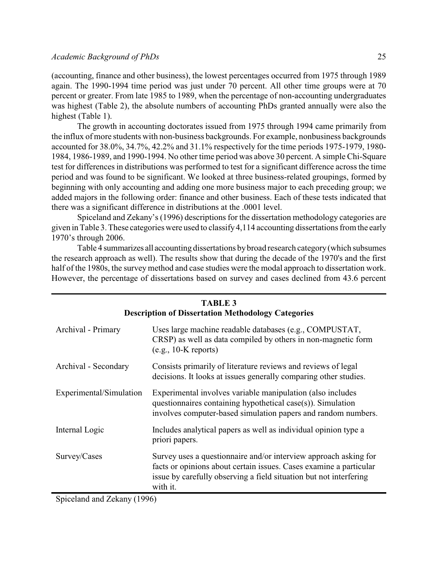#### *Academic Background of PhDs* 25

(accounting, finance and other business), the lowest percentages occurred from 1975 through 1989 again. The 1990-1994 time period was just under 70 percent. All other time groups were at 70 percent or greater. From late 1985 to 1989, when the percentage of non-accounting undergraduates was highest (Table 2), the absolute numbers of accounting PhDs granted annually were also the highest (Table 1).

The growth in accounting doctorates issued from 1975 through 1994 came primarily from the influx of more students with non-business backgrounds. For example, nonbusiness backgrounds accounted for 38.0%, 34.7%, 42.2% and 31.1% respectively for the time periods 1975-1979, 1980- 1984, 1986-1989, and 1990-1994. No other time period was above 30 percent. A simple Chi-Square test for differences in distributions was performed to test for a significant difference across the time period and was found to be significant. We looked at three business-related groupings, formed by beginning with only accounting and adding one more business major to each preceding group; we added majors in the following order: finance and other business. Each of these tests indicated that there was a significant difference in distributions at the .0001 level.

Spiceland and Zekany's (1996) descriptions for the dissertation methodology categories are given in Table 3. These categories were used to classify 4,114 accounting dissertations from the early 1970's through 2006.

Table 4 summarizes all accounting dissertations bybroad research category(which subsumes the research approach as well). The results show that during the decade of the 1970's and the first half of the 1980s, the survey method and case studies were the modal approach to dissertation work. However, the percentage of dissertations based on survey and cases declined from 43.6 percent

| <b>Description of Dissertation Methodology Categories</b> |                                                                                                                                                                                                                          |  |  |  |  |  |
|-----------------------------------------------------------|--------------------------------------------------------------------------------------------------------------------------------------------------------------------------------------------------------------------------|--|--|--|--|--|
| Archival - Primary                                        | Uses large machine readable databases (e.g., COMPUSTAT,<br>CRSP) as well as data compiled by others in non-magnetic form<br>$(e.g., 10-K$ reports)                                                                       |  |  |  |  |  |
| Archival - Secondary                                      | Consists primarily of literature reviews and reviews of legal<br>decisions. It looks at issues generally comparing other studies.                                                                                        |  |  |  |  |  |
| Experimental/Simulation                                   | Experimental involves variable manipulation (also includes<br>questionnaires containing hypothetical case(s)). Simulation<br>involves computer-based simulation papers and random numbers.                               |  |  |  |  |  |
| Internal Logic                                            | Includes analytical papers as well as individual opinion type a<br>priori papers.                                                                                                                                        |  |  |  |  |  |
| Survey/Cases                                              | Survey uses a questionnaire and/or interview approach asking for<br>facts or opinions about certain issues. Cases examine a particular<br>issue by carefully observing a field situation but not interfering<br>with it. |  |  |  |  |  |

# **TABLE 3**

Spiceland and Zekany (1996)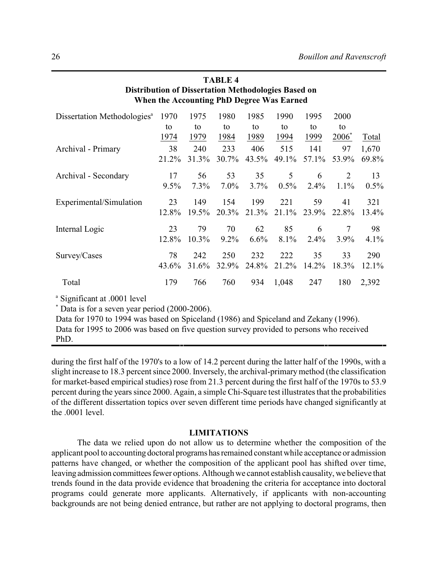| <b>Distribution of Dissertation Methodologies Based on</b><br>When the Accounting PhD Degree Was Earned |       |       |         |       |         |          |                   |       |  |
|---------------------------------------------------------------------------------------------------------|-------|-------|---------|-------|---------|----------|-------------------|-------|--|
| Dissertation Methodologies <sup>a</sup>                                                                 | 1970  | 1975  | 1980    | 1985  | 1990    | 1995     | 2000              |       |  |
|                                                                                                         | to    | to    | to      | to    | to      | to       | to                |       |  |
|                                                                                                         | 1974  | 1979  | 1984    | 1989  | 1994    | 1999     | 2006 <sup>*</sup> | Total |  |
| Archival - Primary                                                                                      | 38    | 240   | 233     | 406   | 515     | 141      | 97                | 1,670 |  |
|                                                                                                         | 21.2% | 31.3% | 30.7%   | 43.5% | 49.1%   | 57.1%    | 53.9%             | 69.8% |  |
| Archival - Secondary                                                                                    | 17    | 56    | 53      | 35    | 5       | 6        | $\overline{2}$    | 13    |  |
|                                                                                                         | 9.5%  | 7.3%  | $7.0\%$ | 3.7%  | $0.5\%$ | 2.4%     | 1.1%              | 0.5%  |  |
| Experimental/Simulation                                                                                 | 23    | 149   | 154     | 199   | 221     | 59       | 41                | 321   |  |
|                                                                                                         | 12.8% | 19.5% | 20.3%   | 21.3% | 21.1%   | 23.9%    | 22.8%             | 13.4% |  |
| Internal Logic                                                                                          | 23    | 79    | 70      | 62    | 85      | 6        | $\overline{7}$    | 98    |  |
|                                                                                                         | 12.8% | 10.3% | 9.2%    | 6.6%  | 8.1%    | 2.4%     | 3.9%              | 4.1%  |  |
| Survey/Cases                                                                                            | 78    | 242   | 250     | 232   | 222     | 35       | 33                | 290   |  |
|                                                                                                         | 43.6% | 31.6% | 32.9%   | 24.8% | 21.2%   | $14.2\%$ | 18.3%             | 12.1% |  |
| Total                                                                                                   | 179   | 766   | 760     | 934   | 1,048   | 247      | 180               | 2,392 |  |
| <sup>a</sup> Significant at .0001 level                                                                 |       |       |         |       |         |          |                   |       |  |
| $*$ Data is for a seven year period (2000-2006).                                                        |       |       |         |       |         |          |                   |       |  |

**TABLE 4**

Data for 1970 to 1994 was based on Spiceland (1986) and Spiceland and Zekany (1996). Data for 1995 to 2006 was based on five question survey provided to persons who received PhD.

during the first half of the 1970's to a low of 14.2 percent during the latter half of the 1990s, with a slight increase to 18.3 percent since 2000. Inversely, the archival-primary method (the classification for market-based empirical studies) rose from 21.3 percent during the first half of the 1970s to 53.9 percent during the years since 2000. Again, a simple Chi-Square test illustrates that the probabilities of the different dissertation topics over seven different time periods have changed significantly at the .0001 level.

#### **LIMITATIONS**

The data we relied upon do not allow us to determine whether the composition of the applicant pool to accounting doctoral programs hasremained constant while acceptance or admission patterns have changed, or whether the composition of the applicant pool has shifted over time, leaving admission committees fewer options. Although we cannot establish causality, we believe that trends found in the data provide evidence that broadening the criteria for acceptance into doctoral programs could generate more applicants. Alternatively, if applicants with non-accounting backgrounds are not being denied entrance, but rather are not applying to doctoral programs, then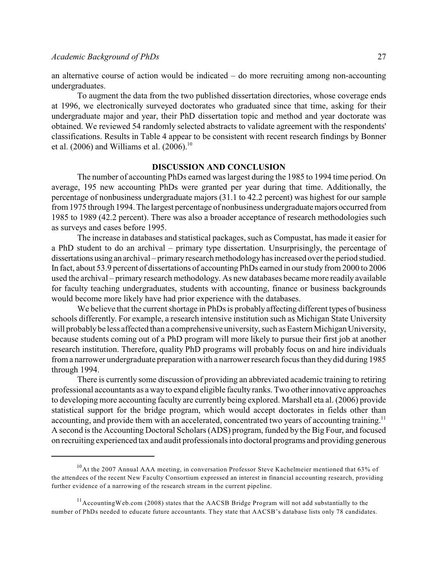an alternative course of action would be indicated – do more recruiting among non-accounting undergraduates.

To augment the data from the two published dissertation directories, whose coverage ends at 1996, we electronically surveyed doctorates who graduated since that time, asking for their undergraduate major and year, their PhD dissertation topic and method and year doctorate was obtained. We reviewed 54 randomly selected abstracts to validate agreement with the respondents' classifications. Results in Table 4 appear to be consistent with recent research findings by Bonner et al. (2006) and Williams et al. (2006).<sup>10</sup>

#### **DISCUSSION AND CONCLUSION**

The number of accounting PhDs earned was largest during the 1985 to 1994 time period. On average, 195 new accounting PhDs were granted per year during that time. Additionally, the percentage of nonbusiness undergraduate majors (31.1 to 42.2 percent) was highest for our sample from 1975 through 1994. The largest percentage of nonbusiness undergraduatemajors occurred from 1985 to 1989 (42.2 percent). There was also a broader acceptance of research methodologies such as surveys and cases before 1995.

The increase in databases and statistical packages, such as Compustat, has made it easier for a PhD student to do an archival – primary type dissertation. Unsurprisingly, the percentage of dissertations using an archival – primaryresearch methodologyhas increased over the period studied. In fact, about 53.9 percent of dissertations of accounting PhDs earned in our study from 2000 to 2006 used the archival – primary research methodology. As new databases became more readily available for faculty teaching undergraduates, students with accounting, finance or business backgrounds would become more likely have had prior experience with the databases.

We believe that the current shortage in PhDs is probably affecting different types of business schools differently. For example, a research intensive institution such as Michigan State University will probably be less affected than a comprehensive university, such as Eastern Michigan University, because students coming out of a PhD program will more likely to pursue their first job at another research institution. Therefore, quality PhD programs will probably focus on and hire individuals from a narrower undergraduate preparation with a narrower research focus than they did during 1985 through 1994.

There is currently some discussion of providing an abbreviated academic training to retiring professional accountants as a wayto expand eligible faculty ranks. Two other innovative approaches to developing more accounting faculty are currently being explored. Marshall eta al. (2006) provide statistical support for the bridge program, which would accept doctorates in fields other than accounting, and provide them with an accelerated, concentrated two years of accounting training.<sup>11</sup> A second is the Accounting Doctoral Scholars (ADS) program, funded by the Big Four, and focused on recruiting experienced tax and audit professionals into doctoral programs and providing generous

 $10$ At the 2007 Annual AAA meeting, in conversation Professor Steve Kachelmeier mentioned that 63% of the attendees of the recent New Faculty Consortium expressed an interest in financial accounting research, providing further evidence of a narrowing of the research stream in the current pipeline.

 $11$  Accounting Web.com (2008) states that the AACSB Bridge Program will not add substantially to the number of PhDs needed to educate future accountants. They state that AACSB's database lists only 78 candidates.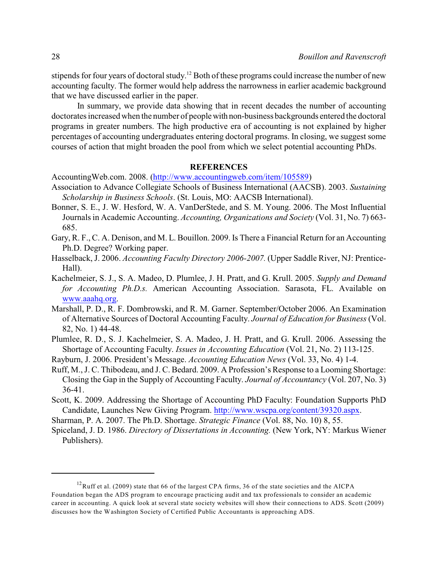stipends for four years of doctoral study.<sup>12</sup> Both of these programs could increase the number of new accounting faculty. The former would help address the narrowness in earlier academic background that we have discussed earlier in the paper.

In summary, we provide data showing that in recent decades the number of accounting doctorates increased when the number of peoplewith non-business backgrounds entered the doctoral programs in greater numbers. The high productive era of accounting is not explained by higher percentages of accounting undergraduates entering doctoral programs. In closing, we suggest some courses of action that might broaden the pool from which we select potential accounting PhDs.

#### **REFERENCES**

AccountingWeb.com. 2008. [\(http://www.accountingweb.com/item/105589](http://www.accountingweb.com/item/105589))

- Association to Advance Collegiate Schools of Business International (AACSB). 2003. *Sustaining Scholarship in Business Schools*. (St. Louis, MO: AACSB International).
- Bonner, S. E., J. W. Hesford, W. A. VanDerStede, and S. M. Young. 2006. The Most Influential Journals in Academic Accounting. *Accounting, Organizations and Society* (Vol. 31, No. 7) 663- 685.
- Gary, R. F., C. A. Denison, and M. L. Bouillon. 2009. Is There a Financial Return for an Accounting Ph.D. Degree? Working paper.
- Hasselback, J. 2006. *Accounting Faculty Directory 2006-2007.* (Upper Saddle River, NJ: Prentice-Hall).
- Kachelmeier, S. J., S. A. Madeo, D. Plumlee, J. H. Pratt, and G. Krull. 2005. *Supply and Demand for Accounting Ph.D.s.* American Accounting Association. Sarasota, FL. Available on [www.aaahq.org](http://www.aaahq.org).
- Marshall, P. D., R. F. Dombrowski, and R. M. Garner. September/October 2006. An Examination of Alternative Sources of Doctoral Accounting Faculty. *Journal of Education for Business* (Vol. 82, No. 1) 44-48.
- Plumlee, R. D., S. J. Kachelmeier, S. A. Madeo, J. H. Pratt, and G. Krull. 2006. Assessing the Shortage of Accounting Faculty. *Issues in Accounting Education* (Vol. 21, No. 2) 113-125.
- Rayburn, J. 2006. President's Message. *Accounting Education News* (Vol. 33, No. 4) 1-4.
- Ruff, M., J. C. Thibodeau, and J. C. Bedard. 2009. A Profession's Response to a Looming Shortage: Closing the Gap in the Supply of Accounting Faculty. *Journal of Accountancy* (Vol. 207, No. 3) 36-41.
- Scott, K. 2009. Addressing the Shortage of Accounting PhD Faculty: Foundation Supports PhD Candidate, Launches New Giving Program.<http://www.wscpa.org/content/39320.aspx>.
- Sharman, P. A. 2007. The Ph.D. Shortage. *Strategic Finance* (Vol. 88, No. 10) 8, 55.
- Spiceland, J. D. 1986. *Directory of Dissertations in Accounting.* (New York, NY: Markus Wiener Publishers).

 $12$ Ruff et al. (2009) state that 66 of the largest CPA firms, 36 of the state societies and the AICPA Foundation began the ADS program to encourage practicing audit and tax professionals to consider an academic career in accounting. A quick look at several state society websites will show their connections to ADS. Scott (2009) discusses how the Washington Society of Certified Public Accountants is approaching ADS.